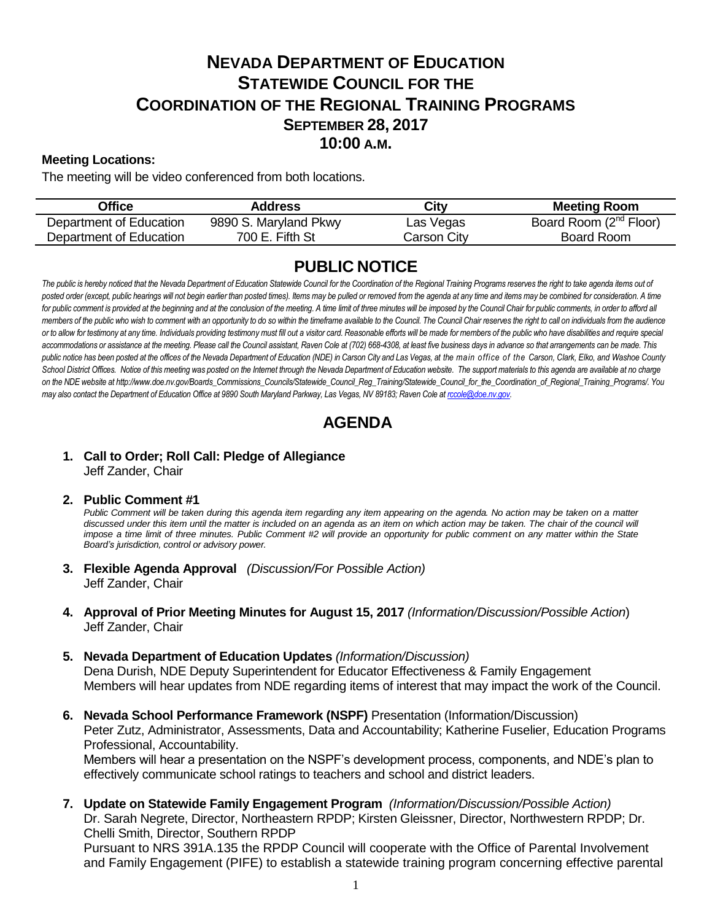# **NEVADA DEPARTMENT OF EDUCATION STATEWIDE COUNCIL FOR THE COORDINATION OF THE REGIONAL TRAINING PROGRAMS SEPTEMBER 28, 2017 10:00 A.M.**

## **Meeting Locations:**

The meeting will be video conferenced from both locations.

| Office                  | <b>Address</b>        | City        | <b>Meeting Room</b>                |
|-------------------------|-----------------------|-------------|------------------------------------|
| Department of Education | 9890 S. Maryland Pkwy | Las Vegas   | Board Room (2 <sup>nd</sup> Floor) |
| Department of Education | 700 E. Fifth St       | Carson Citv | Board Room                         |

## **PUBLIC NOTICE**

The public is hereby noticed that the Nevada Department of Education Statewide Council for the Coordination of the Regional Training Programs reserves the right to take agenda items out of posted order (except, public hearings will not begin earlier than posted times). Items may be pulled or removed from the agenda at any time and items may be combined for consideration. A time for public comment is provided at the beginning and at the conclusion of the meeting. A time limit of three minutes will be imposed by the Council Chair for public comments, in order to afford all *members of the public who wish to comment with an opportunity to do so within the timeframe available to the Council. The Council Chair reserves the right to call on individuals from the audience*  or to allow for testimony at any time. Individuals providing testimony must fill out a visitor card. Reasonable efforts will be made for members of the public who have disabilities and require special *accommodations or assistance at the meeting. Please call the Council assistant, Raven Cole at (702) 668-4308, at least five business days in advance so that arrangements can be made. This public notice has been posted at the offices of the Nevada Department of Education (NDE) in Carson City and Las Vegas, at the main office of the Carson, Clark, Elko, and Washoe County*  School District Offices. Notice of this meeting was posted on the Internet through th[e Nevada Department of Education w](http://www.doe.nv.gov/)ebsite. The support materials to this agenda are available at no charge *on the NDE website at http://www.doe.nv.gov/Boards\_Commissions\_Councils/Statewide\_Council\_Reg\_Training/Statewide\_Council\_for\_the\_Coordination\_of\_Regional\_Training\_Programs/. You may also contact the Department of Education Office at 9890 South Maryland Parkway, Las Vegas, NV 89183; Raven Cole at [rccole@doe.nv.gov.](mailto:rccole@doe.nv.gov)*

## **AGENDA**

## **1. Call to Order; Roll Call: Pledge of Allegiance** Jeff Zander, Chair

#### **2. Public Comment #1**

Public Comment will be taken during this agenda item regarding any item appearing on the agenda. No action may be taken on a matter discussed under this item until the matter is included on an agenda as an item on which action may be taken. The chair of the council will *impose a time limit of three minutes. Public Comment #2 will provide an opportunity for public comment on any matter within the State Board's jurisdiction, control or advisory power.*

- **3. Flexible Agenda Approval** *(Discussion/For Possible Action)* Jeff Zander, Chair
- **4. Approval of Prior Meeting Minutes for August 15, 2017** *(Information/Discussion/Possible Action*) Jeff Zander, Chair
- **5. Nevada Department of Education Updates** *(Information/Discussion)* Dena Durish, NDE Deputy Superintendent for Educator Effectiveness & Family Engagement Members will hear updates from NDE regarding items of interest that may impact the work of the Council.
- **6. Nevada School Performance Framework (NSPF)** Presentation (Information/Discussion) Peter Zutz, Administrator, Assessments, Data and Accountability; Katherine Fuselier, Education Programs Professional, Accountability. Members will hear a presentation on the NSPF's development process, components, and NDE's plan to effectively communicate school ratings to teachers and school and district leaders.
- **7. Update on Statewide Family Engagement Program** *(Information/Discussion/Possible Action)*

Dr. Sarah Negrete, Director, Northeastern RPDP; Kirsten Gleissner, Director, Northwestern RPDP; Dr. Chelli Smith, Director, Southern RPDP

Pursuant to NRS 391A.135 the RPDP Council will cooperate with the Office of Parental Involvement and Family Engagement (PIFE) to establish a statewide training program concerning effective parental